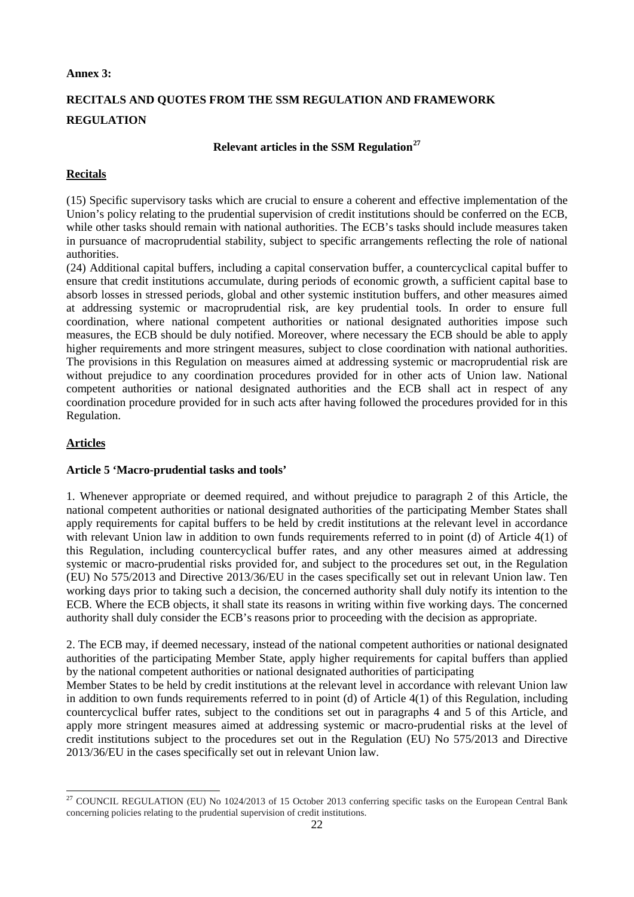#### **Annex 3:**

# **RECITALS AND QUOTES FROM THE SSM REGULATION AND FRAMEWORK REGULATION**

#### **Relevant articles in the SSM Regulation[27](#page-0-0)**

## **Recitals**

(15) Specific supervisory tasks which are crucial to ensure a coherent and effective implementation of the Union's policy relating to the prudential supervision of credit institutions should be conferred on the ECB, while other tasks should remain with national authorities. The ECB's tasks should include measures taken in pursuance of macroprudential stability, subject to specific arrangements reflecting the role of national authorities.

(24) Additional capital buffers, including a capital conservation buffer, a countercyclical capital buffer to ensure that credit institutions accumulate, during periods of economic growth, a sufficient capital base to absorb losses in stressed periods, global and other systemic institution buffers, and other measures aimed at addressing systemic or macroprudential risk, are key prudential tools. In order to ensure full coordination, where national competent authorities or national designated authorities impose such measures, the ECB should be duly notified. Moreover, where necessary the ECB should be able to apply higher requirements and more stringent measures, subject to close coordination with national authorities. The provisions in this Regulation on measures aimed at addressing systemic or macroprudential risk are without prejudice to any coordination procedures provided for in other acts of Union law. National competent authorities or national designated authorities and the ECB shall act in respect of any coordination procedure provided for in such acts after having followed the procedures provided for in this Regulation.

## **Articles**

## **Article 5 'Macro-prudential tasks and tools'**

1. Whenever appropriate or deemed required, and without prejudice to paragraph 2 of this Article, the national competent authorities or national designated authorities of the participating Member States shall apply requirements for capital buffers to be held by credit institutions at the relevant level in accordance with relevant Union law in addition to own funds requirements referred to in point (d) of Article 4(1) of this Regulation, including countercyclical buffer rates, and any other measures aimed at addressing systemic or macro-prudential risks provided for, and subject to the procedures set out, in the Regulation (EU) No 575/2013 and Directive 2013/36/EU in the cases specifically set out in relevant Union law. Ten working days prior to taking such a decision, the concerned authority shall duly notify its intention to the ECB. Where the ECB objects, it shall state its reasons in writing within five working days. The concerned authority shall duly consider the ECB's reasons prior to proceeding with the decision as appropriate.

2. The ECB may, if deemed necessary, instead of the national competent authorities or national designated authorities of the participating Member State, apply higher requirements for capital buffers than applied by the national competent authorities or national designated authorities of participating

Member States to be held by credit institutions at the relevant level in accordance with relevant Union law in addition to own funds requirements referred to in point (d) of Article 4(1) of this Regulation, including countercyclical buffer rates, subject to the conditions set out in paragraphs 4 and 5 of this Article, and apply more stringent measures aimed at addressing systemic or macro-prudential risks at the level of credit institutions subject to the procedures set out in the Regulation (EU) No 575/2013 and Directive 2013/36/EU in the cases specifically set out in relevant Union law.

<span id="page-0-0"></span><sup>&</sup>lt;sup>27</sup> COUNCIL REGULATION (EU) No 1024/2013 of 15 October 2013 conferring specific tasks on the European Central Bank concerning policies relating to the prudential supervision of credit institutions.